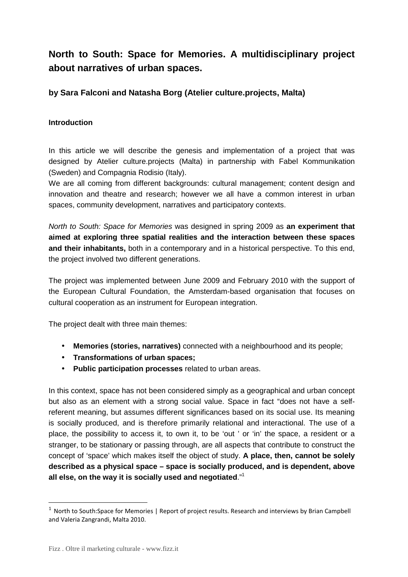# **North to South: Space for Memories. A multidisciplinary project about narratives of urban spaces.**

## **by Sara Falconi and Natasha Borg (Atelier culture.projects, Malta)**

## **Introduction**

In this article we will describe the genesis and implementation of a project that was designed by Atelier culture.projects (Malta) in partnership with Fabel Kommunikation (Sweden) and Compagnia Rodisio (Italy).

We are all coming from different backgrounds: cultural management; content design and innovation and theatre and research; however we all have a common interest in urban spaces, community development, narratives and participatory contexts.

North to South: Space for Memories was designed in spring 2009 as **an experiment that aimed at exploring three spatial realities and the interaction between these spaces and their inhabitants,** both in a contemporary and in a historical perspective. To this end, the project involved two different generations.

The project was implemented between June 2009 and February 2010 with the support of the European Cultural Foundation, the Amsterdam-based organisation that focuses on cultural cooperation as an instrument for European integration.

The project dealt with three main themes:

- **Memories (stories, narratives)** connected with a neighbourhood and its people;
- **Transformations of urban spaces;**
- **Public participation processes** related to urban areas.

In this context, space has not been considered simply as a geographical and urban concept but also as an element with a strong social value. Space in fact "does not have a selfreferent meaning, but assumes different significances based on its social use. Its meaning is socially produced, and is therefore primarily relational and interactional. The use of a place, the possibility to access it, to own it, to be 'out ' or 'in' the space, a resident or a stranger, to be stationary or passing through, are all aspects that contribute to construct the concept of 'space' which makes itself the object of study. **A place, then, cannot be solely described as a physical space – space is socially produced, and is dependent, above all else, on the way it is socially used and negotiated**."<sup>1</sup>

 $1$  North to South:Space for Memories | Report of project results. Research and interviews by Brian Campbell and Valeria Zangrandi, Malta 2010.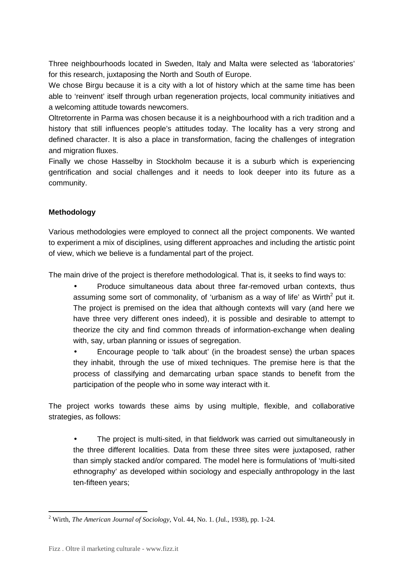Three neighbourhoods located in Sweden, Italy and Malta were selected as 'laboratories' for this research, juxtaposing the North and South of Europe.

We chose Birgu because it is a city with a lot of history which at the same time has been able to 'reinvent' itself through urban regeneration projects, local community initiatives and a welcoming attitude towards newcomers.

Oltretorrente in Parma was chosen because it is a neighbourhood with a rich tradition and a history that still influences people's attitudes today. The locality has a very strong and defined character. It is also a place in transformation, facing the challenges of integration and migration fluxes.

Finally we chose Hasselby in Stockholm because it is a suburb which is experiencing gentrification and social challenges and it needs to look deeper into its future as a community.

## **Methodology**

Various methodologies were employed to connect all the project components. We wanted to experiment a mix of disciplines, using different approaches and including the artistic point of view, which we believe is a fundamental part of the project.

The main drive of the project is therefore methodological. That is, it seeks to find ways to:

• Produce simultaneous data about three far-removed urban contexts, thus assuming some sort of commonality, of 'urbanism as a way of life' as Wirth<sup>2</sup> put it. The project is premised on the idea that although contexts will vary (and here we have three very different ones indeed), it is possible and desirable to attempt to theorize the city and find common threads of information-exchange when dealing with, say, urban planning or issues of segregation.

• Encourage people to 'talk about' (in the broadest sense) the urban spaces they inhabit, through the use of mixed techniques. The premise here is that the process of classifying and demarcating urban space stands to benefit from the participation of the people who in some way interact with it.

The project works towards these aims by using multiple, flexible, and collaborative strategies, as follows:

• The project is multi-sited, in that fieldwork was carried out simultaneously in the three different localities. Data from these three sites were juxtaposed, rather than simply stacked and/or compared. The model here is formulations of 'multi-sited ethnography' as developed within sociology and especially anthropology in the last ten-fifteen years;

l

<sup>2</sup> Wirth, *The American Journal of Sociology*, Vol. 44, No. 1. (Jul., 1938), pp. 1-24.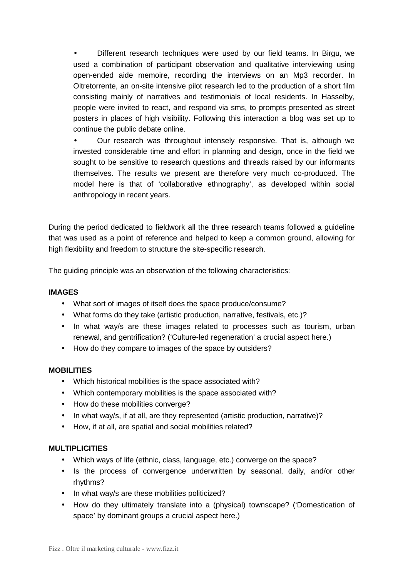Different research techniques were used by our field teams. In Birgu, we used a combination of participant observation and qualitative interviewing using open-ended aide memoire, recording the interviews on an Mp3 recorder. In Oltretorrente, an on-site intensive pilot research led to the production of a short film consisting mainly of narratives and testimonials of local residents. In Hasselby, people were invited to react, and respond via sms, to prompts presented as street posters in places of high visibility. Following this interaction a blog was set up to continue the public debate online.

• Our research was throughout intensely responsive. That is, although we invested considerable time and effort in planning and design, once in the field we sought to be sensitive to research questions and threads raised by our informants themselves. The results we present are therefore very much co-produced. The model here is that of 'collaborative ethnography', as developed within social anthropology in recent years.

During the period dedicated to fieldwork all the three research teams followed a guideline that was used as a point of reference and helped to keep a common ground, allowing for high flexibility and freedom to structure the site-specific research.

The guiding principle was an observation of the following characteristics:

#### **IMAGES**

- What sort of images of itself does the space produce/consume?
- What forms do they take (artistic production, narrative, festivals, etc.)?
- In what way/s are these images related to processes such as tourism, urban renewal, and gentrification? ('Culture-led regeneration' a crucial aspect here.)
- How do they compare to images of the space by outsiders?

#### **MOBILITIES**

- Which historical mobilities is the space associated with?
- Which contemporary mobilities is the space associated with?
- How do these mobilities converge?
- In what way/s, if at all, are they represented (artistic production, narrative)?
- How, if at all, are spatial and social mobilities related?

#### **MULTIPLICITIES**

- Which ways of life (ethnic, class, language, etc.) converge on the space?
- Is the process of convergence underwritten by seasonal, daily, and/or other rhythms?
- In what way/s are these mobilities politicized?
- How do they ultimately translate into a (physical) townscape? ('Domestication of space' by dominant groups a crucial aspect here.)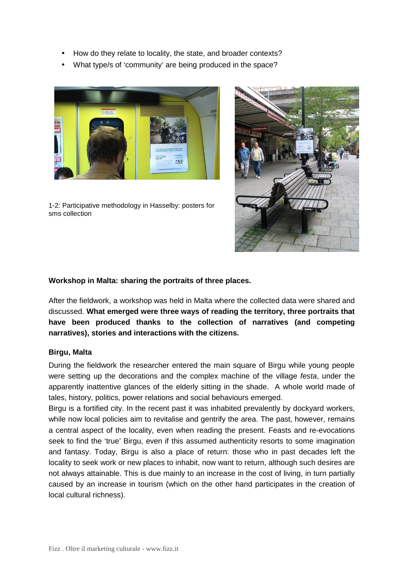- How do they relate to locality, the state, and broader contexts?
- What type/s of 'community' are being produced in the space?



1-2: Participative methodology in Hasselby: posters for sms collection



## **Workshop in Malta: sharing the portraits of three places.**

After the fieldwork, a workshop was held in Malta where the collected data were shared and discussed. **What emerged were three ways of reading the territory, three portraits that have been produced thanks to the collection of narratives (and competing narratives), stories and interactions with the citizens.** 

#### **Birgu, Malta**

During the fieldwork the researcher entered the main square of Birgu while young people were setting up the decorations and the complex machine of the village festa, under the apparently inattentive glances of the elderly sitting in the shade. A whole world made of tales, history, politics, power relations and social behaviours emerged.

Birgu is a fortified city. In the recent past it was inhabited prevalently by dockyard workers, while now local policies aim to revitalise and gentrify the area. The past, however, remains a central aspect of the locality, even when reading the present. Feasts and re-evocations seek to find the 'true' Birgu, even if this assumed authenticity resorts to some imagination and fantasy. Today, Birgu is also a place of return: those who in past decades left the locality to seek work or new places to inhabit, now want to return, although such desires are not always attainable. This is due mainly to an increase in the cost of living, in turn partially caused by an increase in tourism (which on the other hand participates in the creation of local cultural richness).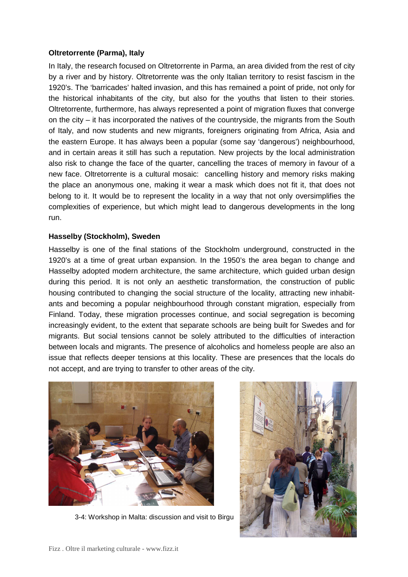#### **Oltretorrente (Parma), Italy**

In Italy, the research focused on Oltretorrente in Parma, an area divided from the rest of city by a river and by history. Oltretorrente was the only Italian territory to resist fascism in the 1920's. The 'barricades' halted invasion, and this has remained a point of pride, not only for the historical inhabitants of the city, but also for the youths that listen to their stories. Oltretorrente, furthermore, has always represented a point of migration fluxes that converge on the city – it has incorporated the natives of the countryside, the migrants from the South of Italy, and now students and new migrants, foreigners originating from Africa, Asia and the eastern Europe. It has always been a popular (some say 'dangerous') neighbourhood, and in certain areas it still has such a reputation. New projects by the local administration also risk to change the face of the quarter, cancelling the traces of memory in favour of a new face. Oltretorrente is a cultural mosaic: cancelling history and memory risks making the place an anonymous one, making it wear a mask which does not fit it, that does not belong to it. It would be to represent the locality in a way that not only oversimplifies the complexities of experience, but which might lead to dangerous developments in the long run.

#### **Hasselby (Stockholm), Sweden**

Hasselby is one of the final stations of the Stockholm underground, constructed in the 1920's at a time of great urban expansion. In the 1950's the area began to change and Hasselby adopted modern architecture, the same architecture, which guided urban design during this period. It is not only an aesthetic transformation, the construction of public housing contributed to changing the social structure of the locality, attracting new inhabitants and becoming a popular neighbourhood through constant migration, especially from Finland. Today, these migration processes continue, and social segregation is becoming increasingly evident, to the extent that separate schools are being built for Swedes and for migrants. But social tensions cannot be solely attributed to the difficulties of interaction between locals and migrants. The presence of alcoholics and homeless people are also an issue that reflects deeper tensions at this locality. These are presences that the locals do not accept, and are trying to transfer to other areas of the city.



3-4: Workshop in Malta: discussion and visit to Birgu

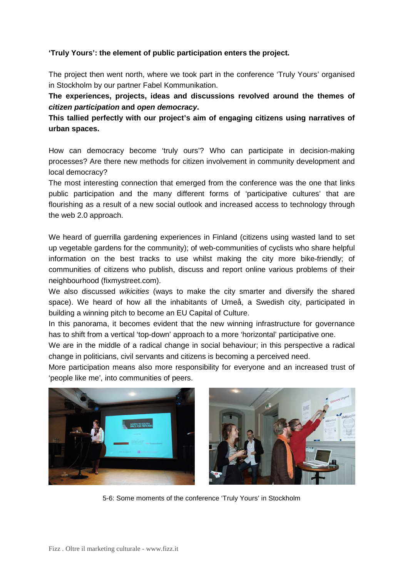## **'Truly Yours': the element of public participation enters the project.**

The project then went north, where we took part in the conference 'Truly Yours' organised in Stockholm by our partner Fabel Kommunikation.

**The experiences, projects, ideas and discussions revolved around the themes of citizen participation and open democracy.** 

**This tallied perfectly with our project's aim of engaging citizens using narratives of urban spaces.** 

How can democracy become 'truly ours'? Who can participate in decision-making processes? Are there new methods for citizen involvement in community development and local democracy?

The most interesting connection that emerged from the conference was the one that links public participation and the many different forms of 'participative cultures' that are flourishing as a result of a new social outlook and increased access to technology through the web 2.0 approach.

We heard of guerrilla gardening experiences in Finland (citizens using wasted land to set up vegetable gardens for the community); of web-communities of cyclists who share helpful information on the best tracks to use whilst making the city more bike-friendly; of communities of citizens who publish, discuss and report online various problems of their neighbourhood (fixmystreet.com).

We also discussed *wikicities* (ways to make the city smarter and diversify the shared space). We heard of how all the inhabitants of Umeå, a Swedish city, participated in building a winning pitch to become an EU Capital of Culture.

In this panorama, it becomes evident that the new winning infrastructure for governance has to shift from a vertical 'top-down' approach to a more 'horizontal' participative one.

We are in the middle of a radical change in social behaviour; in this perspective a radical change in politicians, civil servants and citizens is becoming a perceived need.

More participation means also more responsibility for everyone and an increased trust of 'people like me', into communities of peers.



5-6: Some moments of the conference 'Truly Yours' in Stockholm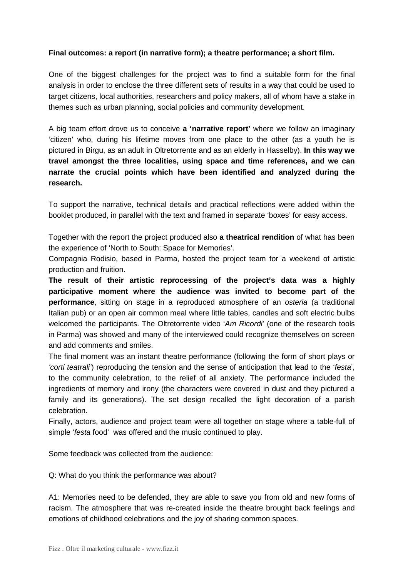#### **Final outcomes: a report (in narrative form); a theatre performance; a short film.**

One of the biggest challenges for the project was to find a suitable form for the final analysis in order to enclose the three different sets of results in a way that could be used to target citizens, local authorities, researchers and policy makers, all of whom have a stake in themes such as urban planning, social policies and community development.

A big team effort drove us to conceive **a 'narrative report'** where we follow an imaginary 'citizen' who, during his lifetime moves from one place to the other (as a youth he is pictured in Birgu, as an adult in Oltretorrente and as an elderly in Hasselby). **In this way we travel amongst the three localities, using space and time references, and we can narrate the crucial points which have been identified and analyzed during the research.** 

To support the narrative, technical details and practical reflections were added within the booklet produced, in parallel with the text and framed in separate 'boxes' for easy access.

Together with the report the project produced also **a theatrical rendition** of what has been the experience of 'North to South: Space for Memories'.

Compagnia Rodisio, based in Parma, hosted the project team for a weekend of artistic production and fruition.

**The result of their artistic reprocessing of the project's data was a highly participative moment where the audience was invited to become part of the performance**, sitting on stage in a reproduced atmosphere of an osteria (a traditional Italian pub) or an open air common meal where little tables, candles and soft electric bulbs welcomed the participants. The Oltretorrente video 'Am Ricordi' (one of the research tools in Parma) was showed and many of the interviewed could recognize themselves on screen and add comments and smiles.

The final moment was an instant theatre performance (following the form of short plays or 'corti teatrali') reproducing the tension and the sense of anticipation that lead to the 'festa', to the community celebration, to the relief of all anxiety. The performance included the ingredients of memory and irony (the characters were covered in dust and they pictured a family and its generations). The set design recalled the light decoration of a parish celebration.

Finally, actors, audience and project team were all together on stage where a table-full of simple 'festa food' was offered and the music continued to play.

Some feedback was collected from the audience:

Q: What do you think the performance was about?

A1: Memories need to be defended, they are able to save you from old and new forms of racism. The atmosphere that was re-created inside the theatre brought back feelings and emotions of childhood celebrations and the joy of sharing common spaces.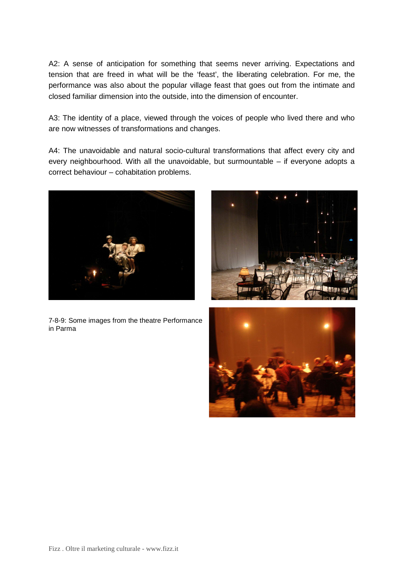A2: A sense of anticipation for something that seems never arriving. Expectations and tension that are freed in what will be the 'feast', the liberating celebration. For me, the performance was also about the popular village feast that goes out from the intimate and closed familiar dimension into the outside, into the dimension of encounter.

A3: The identity of a place, viewed through the voices of people who lived there and who are now witnesses of transformations and changes.

A4: The unavoidable and natural socio-cultural transformations that affect every city and every neighbourhood. With all the unavoidable, but surmountable – if everyone adopts a correct behaviour – cohabitation problems.







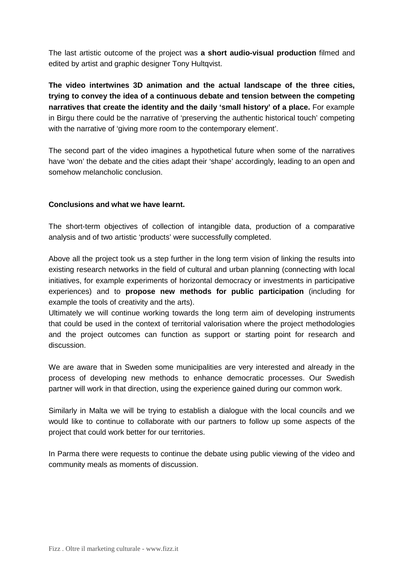The last artistic outcome of the project was **a short audio-visual production** filmed and edited by artist and graphic designer Tony Hultqvist.

**The video intertwines 3D animation and the actual landscape of the three cities, trying to convey the idea of a continuous debate and tension between the competing narratives that create the identity and the daily 'small history' of a place.** For example in Birgu there could be the narrative of 'preserving the authentic historical touch' competing with the narrative of 'giving more room to the contemporary element'.

The second part of the video imagines a hypothetical future when some of the narratives have 'won' the debate and the cities adapt their 'shape' accordingly, leading to an open and somehow melancholic conclusion.

#### **Conclusions and what we have learnt.**

The short-term objectives of collection of intangible data, production of a comparative analysis and of two artistic 'products' were successfully completed.

Above all the project took us a step further in the long term vision of linking the results into existing research networks in the field of cultural and urban planning (connecting with local initiatives, for example experiments of horizontal democracy or investments in participative experiences) and to **propose new methods for public participation** (including for example the tools of creativity and the arts).

Ultimately we will continue working towards the long term aim of developing instruments that could be used in the context of territorial valorisation where the project methodologies and the project outcomes can function as support or starting point for research and discussion.

We are aware that in Sweden some municipalities are very interested and already in the process of developing new methods to enhance democratic processes. Our Swedish partner will work in that direction, using the experience gained during our common work.

Similarly in Malta we will be trying to establish a dialogue with the local councils and we would like to continue to collaborate with our partners to follow up some aspects of the project that could work better for our territories.

In Parma there were requests to continue the debate using public viewing of the video and community meals as moments of discussion.